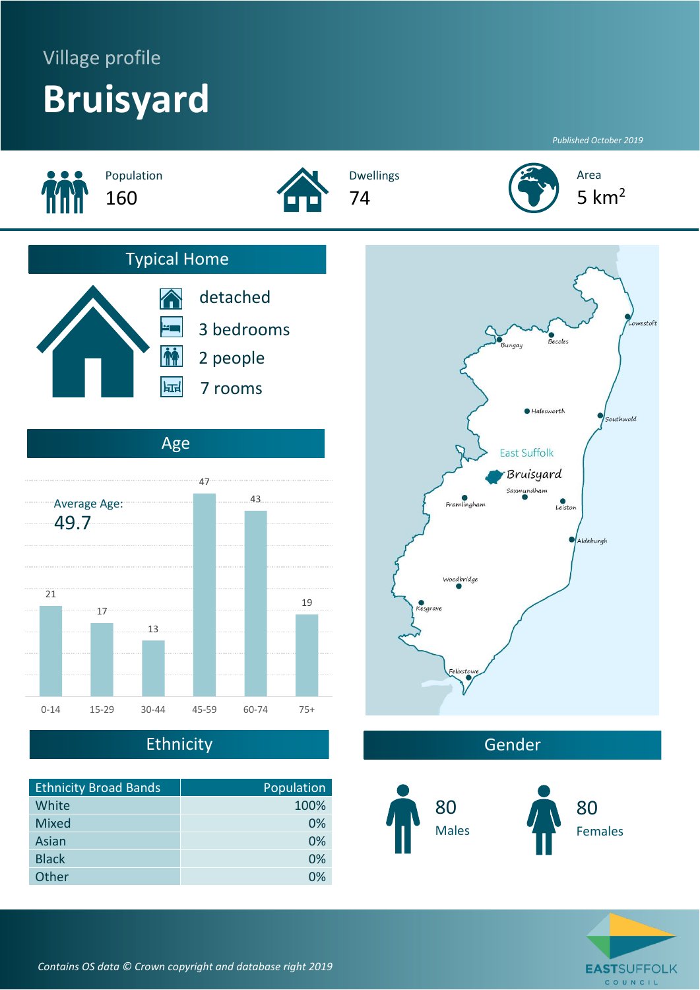# Village profile **Bruisyard**

*Published October 2019*



## Ethnicity

| <b>Ethnicity Broad Bands</b> | Population |
|------------------------------|------------|
| White                        | 100%       |
| <b>Mixed</b>                 | 0%         |
| Asian                        | 0%         |
| <b>Black</b>                 | 0%         |
| Other                        | በ%         |



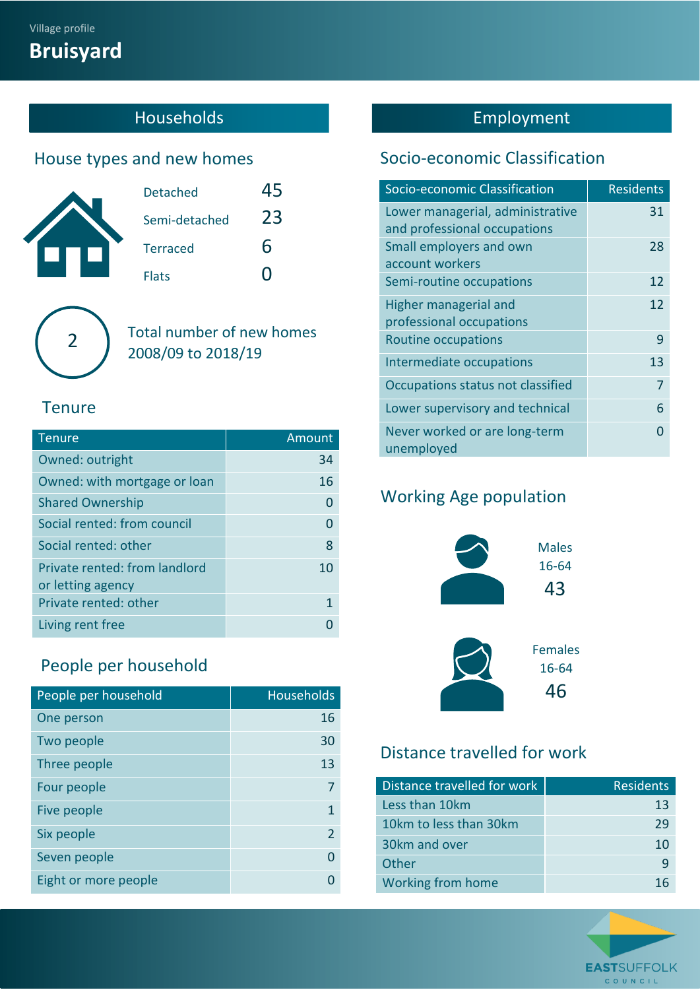# **Bruisyard**

## **Households**

#### House types and new homes

| <b>Detached</b> |    |
|-----------------|----|
| Semi-detached   | 23 |
| <b>Terraced</b> | 6  |
| <b>Flats</b>    |    |

Total number of new homes  $\left( \frac{2}{2} \right)$   $\left( \frac{10 \text{ rad}}{2008/09 \text{ to } 2018/19} \right)$ 

#### **Tenure**

| <b>Tenure</b>                                      | Amount |
|----------------------------------------------------|--------|
| Owned: outright                                    | 34     |
| Owned: with mortgage or loan                       | 16     |
| <b>Shared Ownership</b>                            | 0      |
| Social rented: from council                        | 0      |
| Social rented: other                               | 8      |
| Private rented: from landlord<br>or letting agency | 10     |
| Private rented: other                              | 1      |
| Living rent free                                   |        |

## People per household

| People per household | <b>Households</b> |
|----------------------|-------------------|
| One person           | 16                |
| Two people           | 30                |
| Three people         | 13                |
| Four people          |                   |
| Five people          | 1                 |
| Six people           | $\mathfrak z$     |
| Seven people         |                   |
| Eight or more people |                   |

## Employment

#### Socio-economic Classification

| Socio-economic Classification               | <b>Residents</b> |
|---------------------------------------------|------------------|
| Lower managerial, administrative            | 31               |
| and professional occupations                |                  |
| Small employers and own                     | 28               |
| account workers                             |                  |
| Semi-routine occupations                    | 12               |
| Higher managerial and                       | 12               |
| professional occupations                    |                  |
| <b>Routine occupations</b>                  | 9                |
| Intermediate occupations                    | 13               |
| Occupations status not classified           | 7                |
| Lower supervisory and technical             | 6                |
| Never worked or are long-term<br>unemployed |                  |

#### Working Age population



#### Distance travelled for work

| Distance travelled for work | <b>Residents</b> |
|-----------------------------|------------------|
| Less than 10km              | 13               |
| 10km to less than 30km      | 29               |
| 30km and over               | 10               |
| Other                       | q                |
| Working from home           |                  |

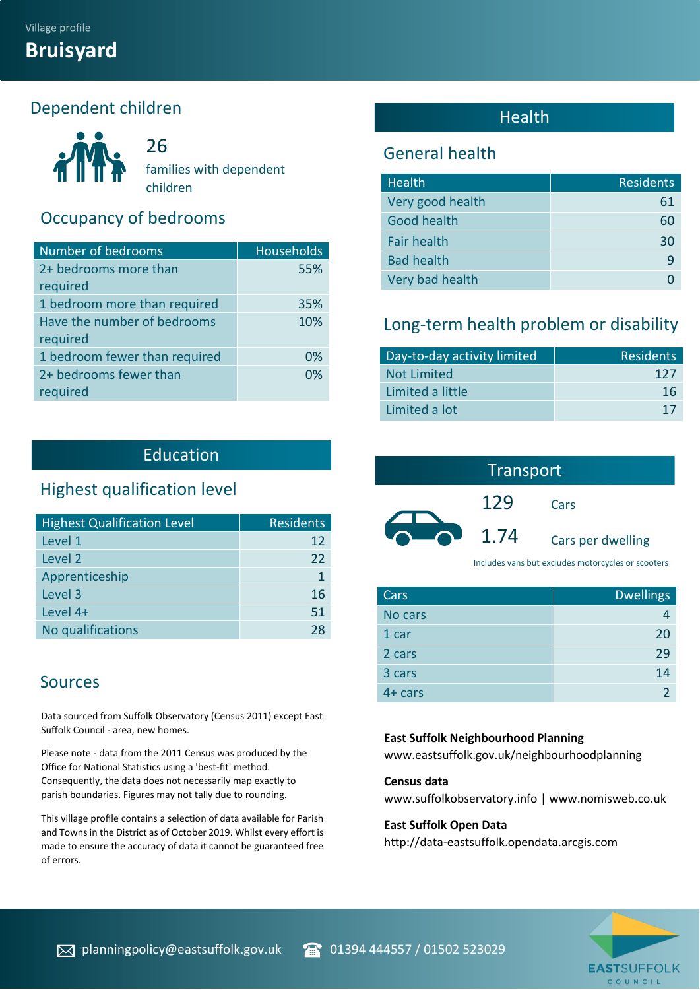#### Dependent children



26 families with dependent children

#### Occupancy of bedrooms

| Number of bedrooms            | <b>Households</b> |
|-------------------------------|-------------------|
| 2+ bedrooms more than         | 55%               |
| required                      |                   |
| 1 bedroom more than required  | 35%               |
| Have the number of bedrooms   | 10%               |
| required                      |                   |
| 1 bedroom fewer than required | 0%                |
| 2+ bedrooms fewer than        | 0%                |
| required                      |                   |

#### Education

#### Highest qualification level

| <b>Highest Qualification Level</b> | <b>Residents</b> |
|------------------------------------|------------------|
| Level 1                            | 12               |
| Level 2                            | 22               |
| Apprenticeship                     |                  |
| Level 3                            | 16               |
| Level 4+                           | 51               |
| No qualifications                  | 28               |

#### Sources

ning

Data sourced from Suffolk Observatory (Census 2011) except East Suffolk Council - area, new homes.

Please note - data from the 2011 Census was produced by the Office for National Statistics using a 'best-fit' method. Consequently, the data does not necessarily map exactly to parish boundaries. Figures may not tally due to rounding.

This village profile contains a selection of data available for Parish and Towns in the District as of October 2019. Whilst every effort is made to ensure the accuracy of data it cannot be guaranteed free of errors.

#### Health

#### General health

| <b>Health</b>      | <b>Residents</b> |
|--------------------|------------------|
| Very good health   | 61               |
| Good health        | 60               |
| <b>Fair health</b> | 30               |
| <b>Bad health</b>  | q                |
| Very bad health    |                  |

#### Long-term health problem or disability

| Day-to-day activity limited | <b>Residents</b> |
|-----------------------------|------------------|
| <b>Not Limited</b>          | 127              |
| Limited a little            | 16               |
| Limited a lot               | 17               |

| Transport |      |                   |
|-----------|------|-------------------|
|           | 129  | Cars              |
|           | 1.74 | Cars per dwelling |

Includes vans but excludes motorcycles or scooters

| Cars      | <b>Dwellings</b> |
|-----------|------------------|
| No cars   |                  |
| 1 car     | 20               |
| 2 cars    | 29               |
| 3 cars    | 14               |
| $4+ cars$ |                  |

#### **East Suffolk Neighbourhood Planning**

www.eastsuffolk.gov.uk/neighbourhoodplanning

#### **Census data**

www.suffolkobservatory.info | www.nomisweb.co.uk

#### **East Suffolk Open Data**

http://data-eastsuffolk.opendata.arcgis.com